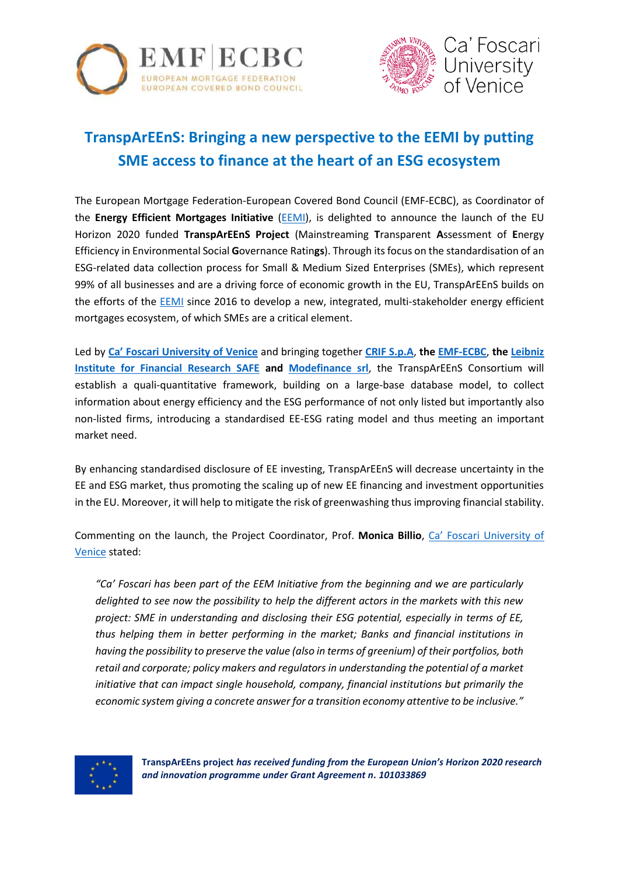



## **TranspArEEnS: Bringing a new perspective to the EEMI by putting SME access to finance at the heart of an ESG ecosystem**

The European Mortgage Federation-European Covered Bond Council (EMF-ECBC), as Coordinator of the **Energy Efficient Mortgages Initiative** [\(EEMI\)](https://energyefficientmortgages.eu/), is delighted to announce the launch of the EU Horizon 2020 funded **TranspArEEnS Project** (Mainstreaming **T**ransparent **A**ssessment of **E**nergy Efficiency in Environmental Social **G**overnance Ratin**gs**). Through its focus on the standardisation of an ESG-related data collection process for Small & Medium Sized Enterprises (SMEs), which represent 99% of all businesses and are a driving force of economic growth in the EU, TranspArEEnS builds on the efforts of the **EEMI** since 2016 to develop a new, integrated, multi-stakeholder energy efficient mortgages ecosystem, of which SMEs are a critical element.

Led by **[Ca' Foscari University of Venice](https://www.unive.it/pag/13526)** and bringing together **[CRIF S.p.A](https://www.crif.com/)**, **the [EMF-ECBC](http://www.hypo.org/)**, **the [Leibniz](https://safe-frankfurt.de/)  [Institute for Financial Research SAFE](https://safe-frankfurt.de/) and [Modefinance srl](https://www.modefinance.com/en)**, the TranspArEEnS Consortium will establish a quali-quantitative framework, building on a large-base database model, to collect information about energy efficiency and the ESG performance of not only listed but importantly also non-listed firms, introducing a standardised EE-ESG rating model and thus meeting an important market need.

By enhancing standardised disclosure of EE investing, TranspArEEnS will decrease uncertainty in the EE and ESG market, thus promoting the scaling up of new EE financing and investment opportunities in the EU. Moreover, it will help to mitigate the risk of greenwashing thus improving financial stability.

Commenting on the launch, the Project Coordinator, Prof. **Monica Billio**, [Ca' Foscari University of](https://www.unive.it/)  [Venice](https://www.unive.it/) stated:

*"Ca' Foscari has been part of the EEM Initiative from the beginning and we are particularly delighted to see now the possibility to help the different actors in the markets with this new project: SME in understanding and disclosing their ESG potential, especially in terms of EE, thus helping them in better performing in the market; Banks and financial institutions in having the possibility to preserve the value (also in terms of greenium) of their portfolios, both retail and corporate; policy makers and regulators in understanding the potential of a market initiative that can impact single household, company, financial institutions but primarily the economic system giving a concrete answer for a transition economy attentive to be inclusive."*

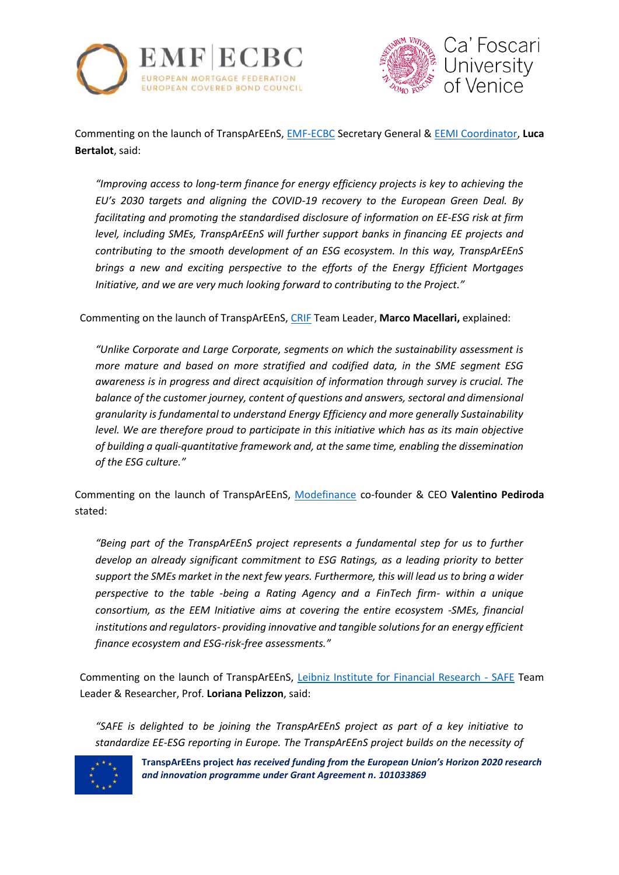



Commenting on the launch of TranspArEEnS, [EMF-ECBC](http://www.hypo.org/) Secretary General & [EEMI Coordinator,](https://energyefficientmortgages.eu/) **Luca Bertalot**, said:

*"Improving access to long-term finance for energy efficiency projects is key to achieving the EU's 2030 targets and aligning the COVID-19 recovery to the European Green Deal. By facilitating and promoting the standardised disclosure of information on EE-ESG risk at firm level, including SMEs, TranspArEEnS will further support banks in financing EE projects and contributing to the smooth development of an ESG ecosystem. In this way, TranspArEEnS brings a new and exciting perspective to the efforts of the Energy Efficient Mortgages Initiative, and we are very much looking forward to contributing to the Project."*

Commenting on the launch of TranspArEEnS[, CRIF](https://www.crif.com/) Team Leader, **Marco Macellari,** explained:

*"Unlike Corporate and Large Corporate, segments on which the sustainability assessment is more mature and based on more stratified and codified data, in the SME segment ESG awareness is in progress and direct acquisition of information through survey is crucial. The balance of the customer journey, content of questions and answers, sectoral and dimensional granularity is fundamental to understand Energy Efficiency and more generally Sustainability level. We are therefore proud to participate in this initiative which has as its main objective of building a quali-quantitative framework and, at the same time, enabling the dissemination of the ESG culture."*

Commenting on the launch of TranspArEEnS, [Modefinance](https://www.modefinance.com/en) co-founder & CEO **Valentino Pediroda** stated:

*"Being part of the TranspArEEnS project represents a fundamental step for us to further develop an already significant commitment to ESG Ratings, as a leading priority to better support the SMEs market in the next few years. Furthermore, this will lead us to bring a wider perspective to the table -being a Rating Agency and a FinTech firm- within a unique consortium, as the EEM Initiative aims at covering the entire ecosystem -SMEs, financial institutions and regulators- providing innovative and tangible solutions for an energy efficient finance ecosystem and ESG-risk-free assessments."*

Commenting on the launch of TranspArEEnS, [Leibniz Institute for Financial Research -](https://safe-frankfurt.de/) SAFE Team Leader & Researcher, Prof. **Loriana Pelizzon**, said:

*"SAFE is delighted to be joining the TranspArEEnS project as part of a key initiative to standardize EE-ESG reporting in Europe. The TranspArEEnS project builds on the necessity of* 



**TranspArEEns project** *has received funding from the European Union's Horizon 2020 research and innovation programme under Grant Agreement n. 101033869*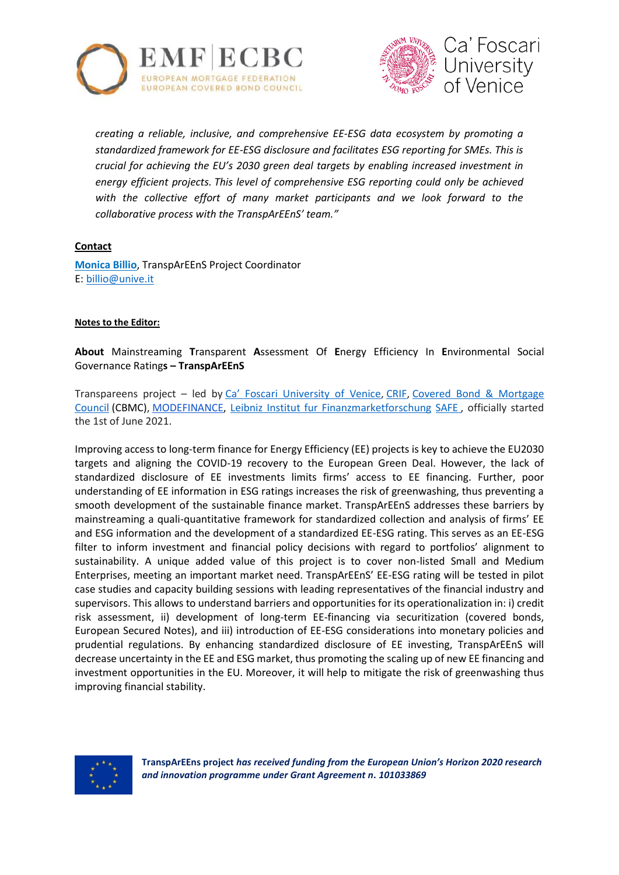



*creating a reliable, inclusive, and comprehensive EE-ESG data ecosystem by promoting a standardized framework for EE-ESG disclosure and facilitates ESG reporting for SMEs. This is crucial for achieving the EU's 2030 green deal targets by enabling increased investment in energy efficient projects. This level of comprehensive ESG reporting could only be achieved*  with the collective effort of many market participants and we look forward to the *collaborative process with the TranspArEEnS' team."*

## **Contact**

**Monica Billio**, TranspArEEnS Project Coordinator E: [billio@unive.it](mailto:billio@unive.it)

## **Notes to the Editor:**

**About** Mainstreaming **T**ransparent **A**ssessment Of **E**nergy Efficiency In **E**nvironmental Social Governance Rating**s – TranspArEEnS**

Transpareens project – led by [Ca' Foscari University of Venice](http://www.unive.it/pag/13526/), [CRIF,](http://www.crif.com/site/en/Pages/default.aspx) [Covered Bond & Mortgage](https://hypo.org/)  [Council](https://hypo.org/) (CBMC), [MODEFINANCE,](https://www.modefinance.com/it) [Leibniz Institut fur Finanzmarketforschung](http://safe-frankfurt.de/home.html) SAFE , officially started the 1st of June 2021.

Improving access to long-term finance for Energy Efficiency (EE) projects is key to achieve the EU2030 targets and aligning the COVID-19 recovery to the European Green Deal. However, the lack of standardized disclosure of EE investments limits firms' access to EE financing. Further, poor understanding of EE information in ESG ratings increases the risk of greenwashing, thus preventing a smooth development of the sustainable finance market. TranspArEEnS addresses these barriers by mainstreaming a quali-quantitative framework for standardized collection and analysis of firms' EE and ESG information and the development of a standardized EE-ESG rating. This serves as an EE-ESG filter to inform investment and financial policy decisions with regard to portfolios' alignment to sustainability. A unique added value of this project is to cover non-listed Small and Medium Enterprises, meeting an important market need. TranspArEEnS' EE-ESG rating will be tested in pilot case studies and capacity building sessions with leading representatives of the financial industry and supervisors. This allows to understand barriers and opportunities for its operationalization in: i) credit risk assessment, ii) development of long-term EE-financing via securitization (covered bonds, European Secured Notes), and iii) introduction of EE-ESG considerations into monetary policies and prudential regulations. By enhancing standardized disclosure of EE investing, TranspArEEnS will decrease uncertainty in the EE and ESG market, thus promoting the scaling up of new EE financing and investment opportunities in the EU. Moreover, it will help to mitigate the risk of greenwashing thus improving financial stability.